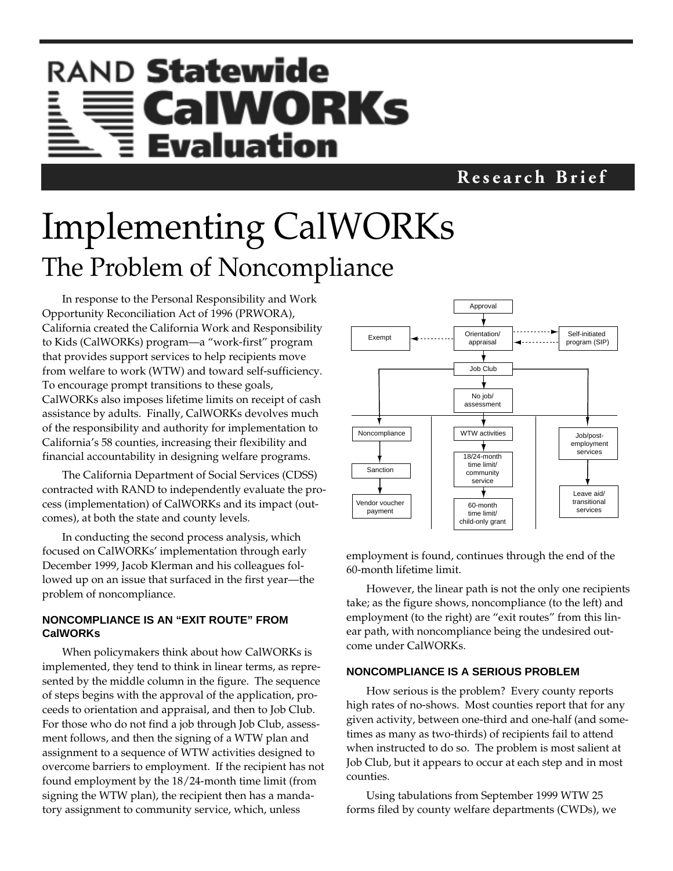# RAND Statewide CalWORKs Evaluation

### **Research Brief**

# Implementing CalWORKs The Problem of Noncompliance

In response to the Personal Responsibility and Work Opportunity Reconciliation Act of 1996 (PRWORA), California created the California Work and Responsibility to Kids (CalWORKs) program—a "work-first" program that provides support services to help recipients move from welfare to work (WTW) and toward self-sufficiency. To encourage prompt transitions to these goals, CalWORKs also imposes lifetime limits on receipt of cash assistance by adults. Finally, CalWORKs devolves much of the responsibility and authority for implementation to California's 58 counties, increasing their flexibility and financial accountability in designing welfare programs.

The California Department of Social Services (CDSS) contracted with RAND to independently evaluate the process (implementation) of CalWORKs and its impact (outcomes), at both the state and county levels.

In conducting the second process analysis, which focused on CalWORKs' implementation through early December 1999, Jacob Klerman and his colleagues followed up on an issue that surfaced in the first year—the problem of noncompliance.

### **NONCOMPLIANCE IS AN "EXIT ROUTE" FROM CalWORKs**

When policymakers think about how CalWORKs is implemented, they tend to think in linear terms, as represented by the middle column in the figure. The sequence of steps begins with the approval of the application, proceeds to orientation and appraisal, and then to Job Club. For those who do not find a job through Job Club, assessment follows, and then the signing of a WTW plan and assignment to a sequence of WTW activities designed to overcome barriers to employment. If the recipient has not found employment by the 18/24-month time limit (from signing the WTW plan), the recipient then has a mandatory assignment to community service, which, unless



employment is found, continues through the end of the 60-month lifetime limit.

However, the linear path is not the only one recipients take; as the figure shows, noncompliance (to the left) and employment (to the right) are "exit routes" from this linear path, with noncompliance being the undesired outcome under CalWORKs.

#### **NONCOMPLIANCE IS A SERIOUS PROBLEM**

How serious is the problem? Every county reports high rates of no-shows. Most counties report that for any given activity, between one-third and one-half (and sometimes as many as two-thirds) of recipients fail to attend when instructed to do so. The problem is most salient at Job Club, but it appears to occur at each step and in most counties.

Using tabulations from September 1999 WTW 25 forms filed by county welfare departments (CWDs), we